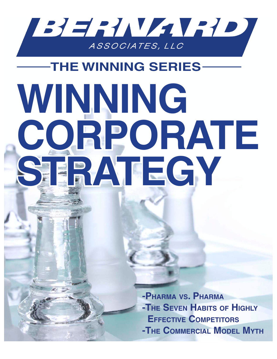

# **THE WINNING SERIES-**WINNING CORPORATE SERATEGY

-PHARMA VS. PHARMA -THE SEVEN HABITS OF HIGHLY **EFFECTIVE COMPETITORS** -THE COMMERCIAL MODEL MYTH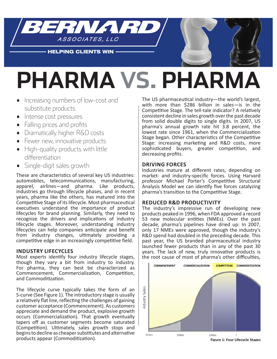

**HELPING CLIENTS WIN** 

## **Pharma vs. Pharma**

- Increasing numbers of low-cost and substitute products
- Intense cost pressures
- Falling prices and profits
- · Dramatically higher R&D costs
- Fewer new, innovative products
- High-quality products with little differentiation
- $\bullet$  Single-digit sales growth

These are characteristics of several key US industries: automobiles, telecommunications, manufacturing, apparel, airlines—and pharma. Like products. apparel, airlines-and pharma. Like industries go through lifecycle phases, and in recent years, pharma like the others, has matured into the Competitive Stage of its lifecycle. Most pharmaceutical executives understand the importance of product lifecycles for brand planning. Similarly, they need to recognize the drivers and implications of industry lifecycle stages. Moreover, understanding industry lifecycles can help companies anticipate and benefit from industry changes, ultimately providing a competitive edge in an increasingly competitive field.

#### **Industry LIfecycLes**

Most experts identify four industry lifecycle stages, though they vary a bit from industry to industry. For pharma, they can best be characterized as Commencement, Commercialization, Competition, and Commoditization.

The lifecycle curve typically takes the form of an S-curve (See Figure 1). The introductory stage is usually a relatively flat line, reflecting the challenges of gaining customer acceptance (Commencement). As customers appreciate and demand the product, explosive growth occurs (Commercialization). That growth eventually tapers off as customer segments become saturated (Competition). Ultimately, sales growth stops and begins to decline as cheaper substitutes and alternative products appear (Commoditization).

The US pharmaceutical industry-the world's largest, with more than \$286 billion in sales-is in the Competitive Stage. The tell-tale indicator? A relatively consistent decline in sales growth over the past decade from solid double digits to single digits. In 2007, US pharma's annual growth rate hit 3.8 percent, the lowest rate since 1961, when the Commercialization Stage began. Other characteristics of the Competitive Stage: increasing marketing and R&D costs, more sophisticated buyers, greater competition, and decreasing profits.

#### **drIvIng forces**

Industries mature at different rates, depending on market- and industry-specific forces. Using Harvard professor Michael Porter's Competitive Structural Analysis Model we can identify five forces catalyzing pharma's transition to the Competitive Stage.

#### **reduced r&d productIvIty**

The industry's impressive run of developing new products peaked in 1996, when FDA approved a record 53 new molecular entities (NMEs). Over the past decade, pharma's pipelines have dried up: In 2007, only 17 NMEs were approved, though the industry's R&D spend had doubled in the preceding decade. This past year, the US branded pharmaceutical industry launched fewer products than in any of the past 30 years. The lack of new, truly innovative products is the root cause of most of pharma's other difficulties,



**figure 1: four Lifecycle stages**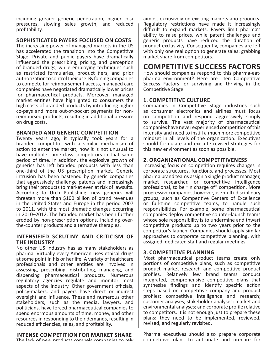inciuding greater generic penetration, nigner cost pressures, slowing sales growth, and reduced profitability.

#### **sophIstIcated payers focused on costs**

The increasing power of managed markets in the US has accelerated the transition into the Competitive Stage. Private and public payers have dramatically influenced the prescribing, pricing, and perception of branded drugs, while employing techniques such as restricted formularies, product tiers, and prior authorization to control their use. By forcing companies to compete for reimbursement access, managed care companies have negotiated dramatically lower prices for pharmaceutical products. Moreover, managed market entities have highlighted to consumers the high costs of branded products by introducing higher co-pays and more out-of-pocket payments for nonreimbursed products, resulting in additional pressure on drug costs.

#### **BRANDED AND GENERIC COMPETITION**

Twenty years ago, it typically took years for a branded competitor with a similar mechanism of action to enter the market; now it is not unusual to have multiple same-class competitors in that same period of time. In addition, the explosive growth of generics has left branded products with less than one-third of the US prescription market. Generic intrusion has been hastened by generic companies that aggressively challenge patents and increasingly bring their products to market even at risk of lawsuits. According to Urch Publishing, new generics will threaten more than \$100 billion of brand revenues in the United States and Europe in the period 2007 to 2011, with the most dramatic changes occurring in 2010-2012. The branded market has been further eroded by non-prescription options, including overthe-counter products and alternative therapies.

#### **IntensIfIed scrutIny and crItIcIsm of the Industry**

No other US industry has as many stakeholders as pharma. Virtually every American uses ethical drugs at some point in his or her life. A variety of healthcare professionals and other entities are involved in assessing, prescribing, distributing, managing, and dispensing pharmaceutical products. Numerous regulatory agencies regulate and monitor most aspects of the industry. Other government officials, policy-makers, and payers have direct or indirect oversight and influence. These and numerous other stakeholders, such as the media, lawyers, and politicians, have forced pharmaceutical companies to spend enormous amounts of time, money, and other resources in responding to their demands, resulting in reduced efficiencies, sales, and profitability.

#### **Intense competItIon for market share**

The lack of new products compels companies to rely

almost exclusively on existing markets and products. Regulatory restrictions have made it increasingly difficult to expand markets. Payers limit pharma's ability to raise prices, while patent challenges and generic products have reduced the duration of product exclusivity. Consequently, companies are left with only one real option to generate sales: grabbing market share from competitors.

#### **competItIve success factors**

How should companies respond to this pharma-eatpharma environment? Here are ten Competitive Success Factors for surviving and thriving in the Competitive Stage:

#### **1. COMPETITIVE CULTURE**

Companies in Competitive Stage industries such as consumer electronics and airlines must focus on competition and respond aggressively simply to survive. The vast majority of pharmaceutical companies have never experienced competition of this intensity and need to instill a much more competitive mindset in all levels of the organization. Executives should formulate and execute revised strategies for this new environment as soon as possible.

#### **2. organIzatIonaL competItIveness**

Increasing focus on competition requires changes in corporate structures, functions, and processes. Most pharma brand teams assign a single product manager, market researcher, or competitive intelligence professional, to be "in charge of" competition. More progressive companies, however, use multi-disciplinary groups, such as Competitive Centers of Excellence or full-time competitive teams, to handle such responsibilities. For example, some pharmaceutical companies deploy competitive counter-launch teams whose sole responsibility is to undermine and thwart competitive products up to two years prior to the competitor's launch. Companies should apply similar approaches to corporate competitive planning, with assigned, dedicated staff and regular meetings.

#### **3. competItIve pLannIng**

Most pharmaceutical product teams create only portions of competitive plans, such as competitive product market research and competitive product profiles. Relatively few brand teams conduct integrated, comprehensive competitive plans that synthesize findings and identify specific action steps based on competitive company and product profiles; competitive intelligence and research; customer analyses; stakeholder analyses; market and environmental analyses; and corporate profile relative to competitors. It is not enough just to prepare these plans: they need to be implemented, reviewed, revised, and regularly revisited.

Pharma executives should also prepare corporate competitive plans to anticipate and prepare for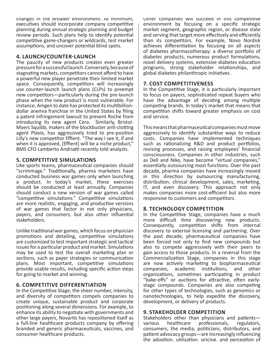changes in the proader environment. At minimum, executives should incorporate company competitive planning during annual strategic planning and budget review periods. Such plans help to identify potential competitive game-changers or wildcards, test market assumptions, and uncover potential blind spots.

#### **4. LAUNCH/COUNTER-LAUNCH**

The paucity of new products creates even greater pressure for a successful launch. Conversely, because of stagnating markets, competitors cannot afford to have a powerful new player penetrate their limited market space. Consequently, competitors will increasingly use counter-launch launch plans (CLPs) to preempt new competitors—particularly during the pre-launch phase when the new product is most vulnerable. For instance, Amgen to date has protected its multibilliondollar anemia franchise in the United States by filing a patent infringement lawsuit to prevent Roche from introducing its new agent Cera. Similarly, Bristol-Myers Squibb, makers of the blockbuster anti-clotting agent Plavix, has aggressively tried to pre-position Lilly's new competitor Effient. "The way I see it, if and when it is approved, [Effient] will be a niche product," BMS CFO Lamberto Andriatti recently told analysts.

#### **5. competItIve sImuLatIons**

Like sports teams, pharmaceutical companies should "scrimmage." Traditionally, pharma marketers have conducted business war games only when launching a product. In today's market, these exercises should be conducted at least annually. Companies should conduct a new version of war games called "competitive simulations." Competitive simulations are more realistic, engaging, and productive versions of war games that factor in not only physicians, payers, and consumers, but also other influential stakeholders.

Unlike traditional war games, which focus on physician promotions and detailing, competitive simulations are customized to test important strategic and tactical issues for a particular product and market. Simulations may be used to test the overall marketing plan or sections, such as payer strategies or communication plans. Most important, competitive simulations provide usable results, including specific action steps for going to market and winning.

#### **6. competItIve dIfferentIatIon**

In the Competitive Stage, the sheer number, intensity, and diversity of competitors compels companies to create unique, sustainable product and corporate positioning along several dimensions. For example, to enhance its ability to negotiate with governments and other large payers, Novartis has repositioned itself as a full-line healthcare products company by offering branded and generic pharmaceuticals, vaccines, and consumer healthcare products.

UTHER COMPANIES WILL SUCCEED IN THIS COMPETITIVE environment by focusing on a specific strategic market segment, geographic region, or disease state and serving that target more effectively and efficiently than its competitors. For example, Novo Nordisk achieves differentiation by focusing on all aspects of diabetes pharmacotherapy: a diverse portfolio of diabetes products, numerous product formulations, novel delivery systems, extensive diabetes education programs, strong stakeholder relationships, and global diabetes philanthropic initiatives.

#### **7. cost competItIveness**

In the Competitive Stage, it is particularly important to focus on payers, sophisticated repeat buyers who have the advantage of deciding among multiple competing brands. In today's market that means that competition shifts toward greater emphasis on cost and service.

This means that pharmaceutical companies must move aggressively to identify substantive ways to reduce costs. Companies have implemented techniques such as rationalizing R&D and product portfolios, revising processes, and raising employees' financial consciousness. Companies in other industries, such as Dell and Nike, have become "virtual companies," essentially outsourcing most functions. Over the past decade, pharma companies have increasingly moved in this direction by outsourcing manufacturing, distribution, clinical development, sales, marketing, IT, and even discovery. This approach not only makes companies more cost-efficient but also more responsive to customers and competitors.

#### **8. technoLogy competItIon**

In the Competitive Stage, companies have a much more difficult time discovering new products. Consequently, competition shifts from internal discovery to external licensing and partnering. Over the past decade, pharmaceutical companies have been forced not only to find new compounds but also to compete aggressively with their peers to gain access to those products. In a reversal from the Commercialization Stage, companies in this stage are now actively marketing to biopharmaceutical companies, academic institutions, and other organizations, sometimes participating in product "bake-offs" or auctions for attractive, often earlystage compounds. Companies are also competing for other types of technologies, such as genomics or nanotechnologies, to help expedite the discovery, development, or delivery of products.

#### **9. stakehoLder competItIon**

Stakeholders other than physicians and patientsvarious healthcare professionals, regulators, consumers, the media, politicians, distributors, and patient advocacy groups-are increasingly influencing the adoption. utilization. pricing. and perception of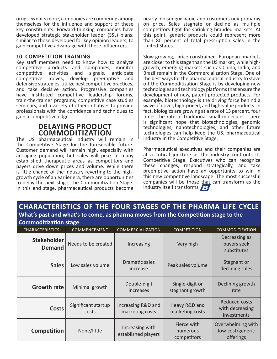crugs, what s more, companies are compeπing among themselves for the influence and support of these key constituents. Forward-thinking companies have developed strategic stakeholder leader (SSL) plans, similar to those developed for key opinion leaders, to gain competitive advantage with these influencers.

#### **10. COMPETITION TRAINING**

Key staff members need to know how to analyze competitive products and companies, monitor competitive activities and signals, anticipate competitive moves, develop preemptive and defensive strategies, utilize best competitive practices, and take decisive action. Progressive companies have instituted competitive leadership forums, train-the-trainer programs, competitive case studies seminars, and a variety of other initiatives to provide professionals with the confidence and techniques to gain a competitive edge.

#### **deLayIng product commodItIzatIon**

The US pharmaceutical industry will remain in the Competitive Stage for the foreseeable future. Customer demand will remain high, especially with an aging population, but sales will peak in many established therapeutic areas as competitors and payers drive down prices and volume. While there is little chance of the industry reverting to the highgrowth cycle of an earlier era, there are opportunities to delay the next stage, the Commoditization Stage. In this end stage, pharmaceutical products become

nearly indistinguishable and customers buy primarily on price. Sales stagnate or decline as multiple competitors fight for shrinking branded markets. At this point, generic products could represent more than 80 percent of total prescription sales in the United States.

Slow-growing, price-constrained European markets are closer to this stage than the US market, while highgrowth, emerging markets such as China, India, and Brazil remain in the Commercialization Stage. One of the best ways for the pharmaceutical industry to stave off the Commoditization Stage is by developing new technologies and technology platforms that ensure the development of new, patent-protected products. For example, biotechnology is the driving force behind a wave of novel, high-priced, and high-value products. In fact, biologics are growing at a rate of 13 percent, four times the rate of traditional small molecules. There is significant hope that biotechnologies, genomic technologies, nanotechnologies, and other future technologies can help keep the US. pharmaceutical industry in the Competitive Stage.

Pharmaceutical executives and their companies are at a critical juncture as the industry confronts its Competitive Stage. Executives who can recognize these changes, respond strategically, and take preemptive action have an opportunity to win in this new competitive landscape. The most successful companies will be those that can transform as the industry itself transforms.

#### **characterIstIcs of the four stages of the pharma LIfe cycLe** What's past and what's to come, as pharma moves from the Competition stage to the Commoditization stage

| commoditization stage        |                              |                                        |                                        |                                                        |
|------------------------------|------------------------------|----------------------------------------|----------------------------------------|--------------------------------------------------------|
| <b>CHARACTERISTICS</b>       | COMMENCEMENT                 | COMMERCIALIZATION                      | <b>COMPETITION</b>                     | <b>COMMODITIZATION</b>                                 |
| Stakeholder<br><b>Demand</b> | Needs to be created          | Increasing                             | Very high                              | Decreasing as<br>buyers seek<br>substitutes            |
| <b>Sales</b>                 | Low sales volume             | Dramatic sales<br>increase             | Peak sales volume                      | Stagnant or<br>declining sales                         |
| <b>Growth rate</b>           | Minimal growth               | Double-digit<br>increases              | Single-digit or<br>stagnant growth     | Declining growth<br>rate                               |
| <b>Costs</b>                 | Significant startup<br>costs | Increasing R&D and<br>marketing costs  | Heavy R&D and<br>marketing costs       | <b>Reduced costs</b><br>with decreasing<br>investments |
| Competition                  | None/little                  | Increasing with<br>established players | Fierce with<br>numerous<br>competitors | Overwhelming with<br>low-cost/generic<br>offerings     |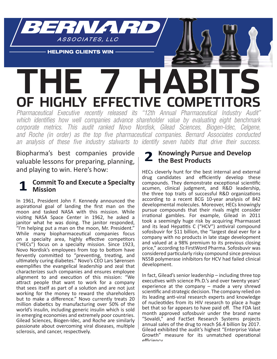

**HELPING CLIENTS WIN** 

## **The 7 habiTs of highly effecTive comPeTiTors**

Pharmaceutical Executive recently released its "12th Annual Pharmaceutical Industry Audit" which identifies how well companies advance shareholder value by evaluating eight benchmark corporate metrics. This audit ranked Novo Nordisk, Gilead Sciences, Biogen-Idec, Celgene, and Roche (in order) as the top five pharmaceutical companies. Bernard Associates conducted an analysis of these five industry stalwarts to identify seven habits that drive their success.

Biopharma's best companies provide valuable lessons for preparing, planning, and playing to win. Here's how:

#### **Commit To and Execute a Specialty mission**

In 1961, President John F. Kennedy announced the aspirational goal of landing the first man on the moon and tasked NASA with this mission. While visiting NASA Space Center in 1962, he asked a janitor what he was doing. The janitor responded, "I'm helping put a man on the moon, Mr. President." While many biopharmaceutical companies focus on a specialty area, highly effective competitors ("HECs") focus on a specialty mission. Since 1923, Novo Nordisk's employees from top to bottom have fervently committed to "preventing, treating, and ultimately curing diabetes." Novo's CEO Lars Sørensen exemplifies the evangelical leadership and zeal that characterizes such companies and ensures employee alignment to and execution of this mission: "We attract people that want to work for a company that sees itself as part of a solution and are not just working for the money to reward the shareholders but to make a difference." Novo currently treats 20 million diabetics by manufacturing over 50% of the world's insulin, including generic insulin which is sold in emerging economies and extremely poor countries. Gilead Sciences, Biogen-Idec, and Roche are similarly passionate about overcoming viral diseases, multiple sclerosis, and cancer, respectively.

#### **2 Knowingly Pursue and Develop the Best products**

HECs cleverly hunt for the best internal and external drug candidates and efficiently develop these compounds. They demonstrate exceptional scientific acumen, clinical judgment, and R&D leadership, the three top traits of successful R&D organizations according to a recent BCG 10-year analysis of 842 developmental molecules. Moreover, HECs knowingly pursue compounds that their rivals might consider irrational gambles. For example, Gilead in 2011 took a seemingly huge risk by acquiring Pharmasset and its lead Hepatitis C ("HCV") antiviral compound sofosbuvir for \$11 billion, the "largest deal ever for a company with no products in late stage development and valued at a 98% premium to its previous closing price," according to FirstWord Pharma. Sofosbuvir was considered particularly risky compound since previous NS5B polymerase inhibitors for HCV had failed clinical development.

In fact, Gilead's senior leadership - including three top executives with science Ph.D.'s and over twenty years' experience at the company  $-$  made a very shrewd scientific and strategic decision. The company relied on its leading anti-viral research experts and knowledge of nucleotides from its HIV research to place a huge bet that so far appears to have paid off. The FDA last month approved sofosbuvir under the brand name "Sovaldi," and FactSet Research Systems projects annual sales of the drug to reach \$6.4 billion by 2017. Gilead exhibited the audit's highest "Enterprise Value Growth" measure for its unmatched operational affirianry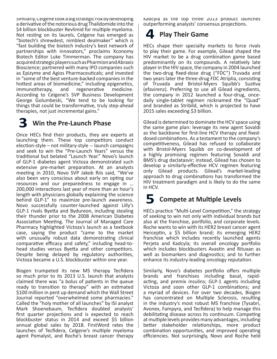Similariy, Ceigene took a big strategic risk by developing a derivative of the notorious drug Thalidomide into the \$4 billion blockbuster Revlimid for multiple myeloma. Not resting on its laurels, Celgene has emerged as "biotech's shrewdest, nimblest dealmaker" which is "fast building the biotech industry's best network of partnerships with innovators," proclaims Xconomy Biotech Editor Luke Timmerman. The company has acquired strategic players such as Pharmion and Abraxis Bioscience; partnered with many IPO companies such as Epizyme and Agios Pharmaceuticals; and invested in "some of the best venture-backed companies in the hottest areas of biomedicine," including epigenetics, immunotherapy, and regenerative medicine. According to Celgene's SVP Business Development George Golumbeski, "We tend to be looking for things that could be transformative, truly step-ahead therapies, not just incremental gains."

### **3 Win the pre-Launch phase**

Once HECs find their products, they are experts at launching them. These top competitors conduct election-style – not military-style -- launch campaigns and seek to win the "Pre-Launch Years" versus the traditional but belated "Launch Year." Novo's launch of GLP-1 diabetes agent Victoza demonstrated such extensive pre-market preparation. At an analysts meeting in 2010, Novo SVP Jakob Riis said, "We've also been very conscious about early on opting our resources and our preparedness to engage in ... 200,000 interactions last year of more than an hour's length with physicians globally explaining the science behind GLP-1" to maximize pre-launch awareness. Novo successfully counter-launched against Lilly's GLP-1 rivals Byetta and Bydureon, including stealing their thunder prior to the 2008 American Diabetes Association Meeting. The Journal of Managed Care Pharmacy highlighted Victoza's launch as a textbook case, saying the product "came to the market with unusually robust data demonstrating clinical comparative efficacy and safety," including head-tohead studies versus Byetta and other competitors. Despite being delayed by regulatory authorities, Victoza became a U.S. blockbuster within one year.

Biogen trumpeted its new MS therapy Tecfidera so much prior to its 2013 U.S. launch that analysts claimed there was "a bolus of patients in the queue ready to transition to therapy" with an estimated \$100 million in pent up demand which the Wall Street Journal reported "overwhelmed some pharmacies." Called the "holy mother of all launches" by ISI analyst Mark Shoenebaum, Tecfidera doubled analysts' first quarter projections and is expected to reach blockbuster status in 2014 and exceed \$5 billion annual global sales by 2018. First Word rates the launches of Tecfidera, Celgene's multiple myeloma agent Pomalyst, and Roche's breast cancer therapy

Kadcyla as the top three 2013 product launches outperforming analysts' consensus projections.

## **4 play their game**

HECs shape their specialty markets to force rivals to play their game. For example, Gilead shaped the HIV market to be a drug combination game based predominantly on its compounds. A relatively late player in the HIV space, the company in 2004 launched the two-drug fixed-dose drug ("FDC") Truvada and two years later the three-drug FDC Atriplia, consisting of Truvada and Bristol-Myers Squibb's Sustiva (efavirenz). Preferring to use all Gilead ingredients, the company in 2012 launched a four-drug, oncedaily single-tablet regimen nicknamed the "Quad" and branded as Stribild, which is projected to have 2015 sales exceeding \$3 billion.

Gilead is determined to dominate the HCV space using the same game plan: leverage its new agent Sovaldi as the backbone for first-line HCV therapy and fixeddosed combinations. As a testament to the company's competitiveness, Gilead has refused to collaborate with Bristol-Myers Squibb on co-development of a highly promising regimen featuring Sovaldi and BMS's drug daclatasvir; instead, Gilead has chosen to develop a similarly-effective HCV regimen featuring only Gilead products. Gilead's market-leading approach to drug combinations has transformed the HIV treatment paradigm and is likely to do the same in HCV.

## **5** Compete at Multiple Levels

HECs practice "Multi-Level Competition," the strategy of seeking to win not only with individual brands but also at the franchise, portfolio, and corporate levels. Roche wants to win with its HER2 breast cancer agent Herceptin, a \$5 billion brand; its emerging HER2 franchise which includes recently launched agents Perjeta and Kadcyla; its overall oncology portfolio which includes blockbusters Avastin and Rituxan as well as biomarkers and diagnostics; and to further enhance its industry-leading oncology reputation.

Similarly, Novo's diabetes portfolio offers multiple brands and franchises including basal, rapidacting, and premix insulins; GLP-1 agents including Victoza and soon other GLP-1 combinations; and a myriad of devices. For over two decades, Biogen has concentrated on Multiple Sclerosis, resulting in the industry's most robust MS franchise (Tysabri, Avonex, Fampyra, and Tecfidera) to help manage this debilitating disease across its continuum. Competing at multiple levels provides many advantages, including better stakeholder relationships, more product combination opportunities, and improved operating efficiencies. Not surprisingly, Novo and Roche held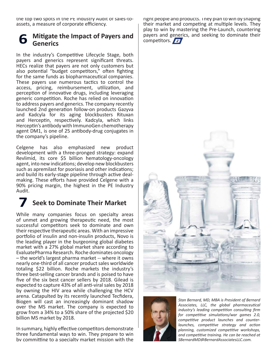τη το τορ τωο spots in the PE industry Audit of sales-toassets, a measure of corporate efficiency.

#### **6** Mitigate the Impact of Payers and  **generics**

In the industry's Competitive Lifecycle Stage, both payers and generics represent significant threats. HECs realize that payers are not only customers but also potential "budget competitors," often fighting for the same funds as biopharmaceutical companies. These payers use numerous tactics to control the access, pricing, reimbursement, utilization, and perception of innovative drugs, including leveraging generic competition. Roche has relied on innovation to address payers and generics. The company recently launched 2nd generation follow-on products Gazyva and Kadcyla for its aging blockbusters Rituxan and Herceptin, respectively. Kadcyla, which links Herceptin's antibody with ImmunoGen chemotherapy agent DM1, is one of 25 antibody-drug conjugates in the company's pipeline.

Celgene has also emphasized new product development with a three-pronged strategy: expand Revlimid, its core \$5 billion hematology-oncology agent, into new indications; develop new blockbusters such as apremilast for psoriasis and other indications; and build its early-stage pipeline through active dealmaking. These efforts have provided Celgene with a 90% pricing margin, the highest in the PE Industry Audit.

## *Seek to Dominate Their Market*

While many companies focus on specialty areas of unmet and growing therapeutic need, the most successful competitors seek to dominate and own their respective therapeutic areas. With an impressive portfolio of insulin and non-insulin products, Novo is the leading player in the burgeoning global diabetes market with a 27% global market share according to EvaluatePharma Research. Roche dominates oncology - the world's largest pharma market -- where it owns nearly one-third of all cancer product sales worldwide totaling \$22 billion. Roche markets the industry's three best-selling cancer brands and is poised to have five of the six best cancer sellers by 2018. Gilead is expected to capture 43% of all anti-viral sales by 2018 by owning the HIV area while challenging the HCV arena. Catapulted by its recently launched Tecfidera, Biogen will cast an increasingly dominant shadow over the MS market. The company is expected to grow from a 34% to a 50% share of the projected \$20 billion MS market by 2018.

In summary, highly effective competitors demonstrate three fundamental ways to win. They prepare to win by committing to a specialty market mission with the

right people and products. They plan to win by shaping their market and competing at multiple levels. They play to win by mastering the Pre-Launch, countering payers and generics, and seeking to dominate their competitors.





*Stan Bernard, MD, MBA is President of Bernard Associates, LLC, the global pharmaceutical industry's leading competition consulting firm for competitive simulations/war games 2.0,* competitive product launches and counter*launches, competitive strategy and action* planning, customized competitive workshops, *and competitive training. He can be reached at*  $SBernardMD@BernardAssociatesLLC.com$ .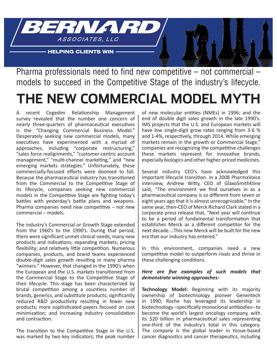

Pharma professionals need to find new competitive  $-$  not commercial  $$ models to succeed in the Competitive Stage of the industry's lifecycle.

## **The New commercial model myTh**

A recent Cegedim Relationship Management survey revealed that the number one concern of nearly three-quarters of pharmaceutical executives is the "Changing Commercial Business Model." Desperately seeking new commercial models, many executives have experimented with a myriad of approaches, including "corporate restructuring," "sales force realignments," "customer-centric account management," "multi-channel marketing," and "new emerging markets strategies." Unfortunately, these commercially-focused efforts were doomed to fail. Because the pharmaceutical industry has transitioned from the Commercial to the Competitive Stage of its lifecycle, companies seeking new commercial models in the Competitive Stage are fighting today's battles with yesterday's battle plans and weapons. Pharma companies need new competitive - not new commercial – models.

The industry's Commercial or Growth Stage extended from the 1960's to the 1990's. During that period, there were significant unmet clinical needs; many new products and indications; expanding markets; pricing flexibility; and relatively little competition. Numerous companies, products, and brand teams experienced double-digit sales growth resulting in many pharma "winners." However, that changed in the 1990's when the European and the U.S. markets transitioned from the Commercial Stage to the Competitive Stage of their lifecycle. This stage has been characterized by brutal competition among a countless number of brands, generics, and substitute products; significantly reduced R&D productivity resulting in fewer new products; more sophisticated payers focused on cost minimization; and increasing industry consolidation and contraction.

The transition to the Competitive Stage in the U.S. was marked by two key indicators; the peak number of new molecular entities (NMEs) in 1996; and the end of double digit sales growth in the late 1990's. IMS projects that the U.S. and European markets will have low single-digit grow rates ranging from 3-6 % and 1-4%, respectively, through 2014. While emerging markets remain in the growth or Commercial Stage," companies are recognizing the competitive challenges these markets represent for innovative brands, especially biologics and other higher-priced medicines.

Several industry CEO's have acknowledged this important lifecycle transition. In a 2008 PharmaVoice interview, Andrew Witty, CEO of GlaxoSmithKline said, "The environment we find ourselves in as a pharmaceutical company is so different from seven or eight years ago that it is almost unrecognizable." In the same year, then-CEO of Merck Richard Clark stated in a corporate press release that, "Next year will continue to be a period of fundamental transformation that establishes Merck as a different competitor for the next decade....This new Merck will be built for the new era that our industry has entered."

In this environment, companies need a new competitive model to outperform rivals and thrive in these challenging conditions.

#### Here are five examples of such models that *demonstrate winning approaches:*

**Technology Model:** Beginning with its majority ownership of biotechnology pioneer Genentech in 1990, Roche has leveraged its leadership in biotechnology -specifically monoclonal antibodies-to become the world's largest oncology company, with its \$20 billion in pharmaceutical sales representing one-third of the industry's total in this category. The company is the global leader in tissue-based cancer diagnostics and cancer therapeutics, including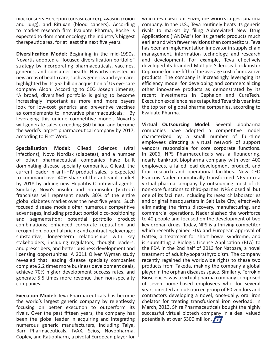DIOCKDUSTErs Hercepτin (Dreast cancer), Avasτin (colon and lung), and Rituxan (blood cancers). According to market research firm Evaluate Pharma, Roche is expected to dominant oncology, the industry's biggest therapeutic area, for at least the next five years.

**Diversification Model:** Beginning in the mid-1990s, Novartis adopted a "focused diversification portfolio" strategy by incorporating pharmaceuticals, vaccines, generics, and consumer health. Novartis invested in new areas of health care, such as generics and eye-care, highlighted by its \$52 billion acquisition of US eye-care company Alcon. According to CEO Joseph Jimenez, "A broad, diversified portfolio is going to become increasingly important as more and more payers look for low-cost generics and preventive vaccines as complements to innovative pharmaceuticals." By leveraging this unique competitive model, Novartis will generate sales exceeding \$60 billion and become the world's largest pharmaceutical company by 2017, according to First Word.

**Specialization Model:** Gilead Sciences (viral infections), Novo Nordisk (diabetes), and a number of other pharmaceutical companies have built dominating disease specialty companies. Gilead, the current leader in anti-HIV product sales, is expected to command over 40% share of the anti-viral market by 2018 by adding new Hepatitis C anti-viral agents. Similarly, Novo's insulin and non-insulin (Victoza) franchises will represent nearly 30% of the entire global diabetes market over the next five years. Such focused disease models offer numerous competitive advantages, including product portfolio co-positioning and segmentation; potential portfolio product combinations; enhanced corporate reputation and recognition; potential pricing and contracting leverage; substantive, longer-term relationships with key stakeholders, including regulators, thought leaders, and prescribers; and better business development and licensing opportunities. A 2011 Oliver Wyman study revealed that leading disease specialty companies complete 2.2 times more business development deals, achieve 70% higher development success rates, and generate 5.5 times more revenue than non-specialty companies.

**Execution Model:** Teva Pharmaceuticals has become the world's largest generic company by relentlessly focusing on better execution to outperform its rivals. Over the past fifteen years, the company has been the global leader in acquiring and integrating numerous generic manufacturers, including Taiya, Barr Pharmaceuticals, IVAX, Scios, Novopharma, Copley, and Ratiopharm, a pivotal European player for WHICH TEVA DEAT OUT PHIZEI, THE WORLD STARGEST PHARMA company. In the U.S., Teva routinely beats its generic rivals to market by filing Abbreviated New Drug Applications ("ANDAs") for its generic products much earlier and with fewer revisions than competitors. Teva has been an implementation innovator in supply chain management, information technology, and research and development. For example, Teva effectively developed its branded Multiple Sclerosis blockbuster Copaxone for one-fifth of the average cost of innovative products. The company is increasingly leveraging its efficiency model for developing and commercializing other innovative products as demonstrated by its recent investments in Cephalon and CureTech. Execution excellence has catapulted Teva this year into the top ten of global pharma companies, according to Evaluate Pharma.

Virtual Outsourcing Model: Several biopharma companies have adopted a competitive model characterized by a small number of full-time employees directing a virtual network of support vendors responsible for core corporate functions. In 2006, NPS Pharmaceuticals was a floundering, nearly bankrupt biopharma company with over 400 employees, a failed lead development product, and four research and operational facilities. New CEO Francois Nader dramatically transformed NPS into a virtual pharma company by outsourcing most of its non-core functions to third-parties. NPS closed all but one of its facilities, including its research laboratories and original headquarters in Salt Lake City, effectively eliminating the firm's discovery, manufacturing, and commercial operations. Nader slashed the workforce to 40 people and focused on the development of two key orphan drugs. Today, NPS is a thriving competitor which recently gained FDA and European approval of Gattex, a treatment for short bowel syndrome, and is submitting a Biologic License Application (BLA) to the FDA in the 2nd half of 2013 for Natpara, a novel treatment of adult hypoparathyroidism. The company recently regained the worldwide rights to these two products from Takeda, making the company a global player in the orphan diseases space. Similarly, Ferrokin Biosciences was a virtual pharma company comprised of seven home-based employees who for several years directed an outsourced group of 60 vendors and contractors developing a novel, once-daily, oral iron chelator for treating transfusional iron overload. In March, 2013, Shire Pharmaceuticals bought the highly successful virtual biotech company in a deal valued potentially at over \$300 million.